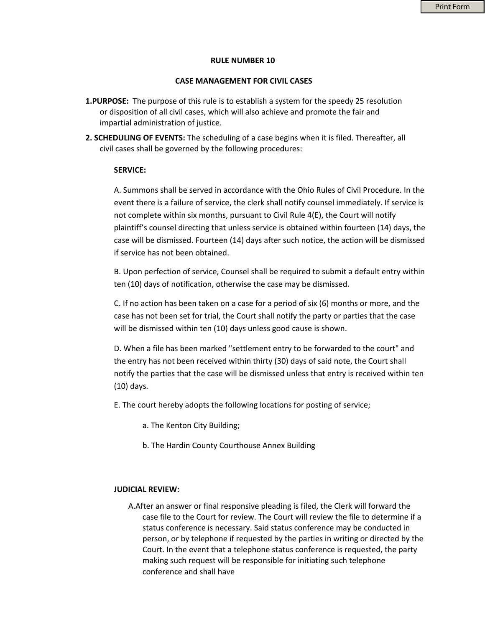### **RULE NUMBER 10**

#### **CASE MANAGEMENT FOR CIVIL CASES**

- **1.PURPOSE:** The purpose of this rule is to establish a system for the speedy 25 resolution or disposition of all civil cases, which will also achieve and promote the fair and impartial administration of justice.
- **2. SCHEDULING OF EVENTS:** The scheduling of a case begins when it is filed. Thereafter, all civil cases shall be governed by the following procedures:

### **SERVICE:**

A. Summons shall be served in accordance with the Ohio Rules of Civil Procedure. In the event there is a failure of service, the clerk shall notify counsel immediately. If service is not complete within six months, pursuant to Civil Rule 4(E), the Court will notify plaintiff's counsel directing that unless service is obtained within fourteen (14) days, the case will be dismissed. Fourteen (14) days after such notice, the action will be dismissed if service has not been obtained.

B. Upon perfection of service, Counsel shall be required to submit a default entry within ten (10) days of notification, otherwise the case may be dismissed.

C. If no action has been taken on a case for a period of six (6) months or more, and the case has not been set for trial, the Court shall notify the party or parties that the case will be dismissed within ten (10) days unless good cause is shown.

D. When a file has been marked "settlement entry to be forwarded to the court" and the entry has not been received within thirty (30) days of said note, the Court shall notify the parties that the case will be dismissed unless that entry is received within ten (10) days.

- E. The court hereby adopts the following locations for posting of service;
	- a. The Kenton City Building;
	- b. The Hardin County Courthouse Annex Building

### **JUDICIAL REVIEW:**

A.After an answer or final responsive pleading is filed, the Clerk will forward the case file to the Court for review. The Court will review the file to determine if a status conference is necessary. Said status conference may be conducted in person, or by telephone if requested by the parties in writing or directed by the Court. In the event that a telephone status conference is requested, the party making such request will be responsible for initiating such telephone conference and shall have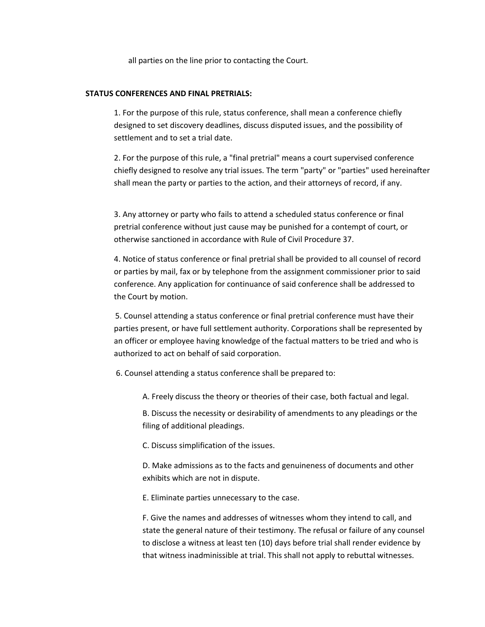all parties on the line prior to contacting the Court.

## **STATUS CONFERENCES AND FINAL PRETRIALS:**

1. For the purpose of this rule, status conference, shall mean a conference chiefly designed to set discovery deadlines, discuss disputed issues, and the possibility of settlement and to set a trial date.

2. For the purpose of this rule, a "final pretrial" means a court supervised conference chiefly designed to resolve any trial issues. The term "party" or "parties" used hereinafter shall mean the party or parties to the action, and their attorneys of record, if any.

3. Any attorney or party who fails to attend a scheduled status conference or final pretrial conference without just cause may be punished for a contempt of court, or otherwise sanctioned in accordance with Rule of Civil Procedure 37.

4. Notice of status conference or final pretrial shall be provided to all counsel of record or parties by mail, fax or by telephone from the assignment commissioner prior to said conference. Any application for continuance of said conference shall be addressed to the Court by motion.

5. Counsel attending a status conference or final pretrial conference must have their parties present, or have full settlement authority. Corporations shall be represented by an officer or employee having knowledge of the factual matters to be tried and who is authorized to act on behalf of said corporation.

6. Counsel attending a status conference shall be prepared to:

A. Freely discuss the theory or theories of their case, both factual and legal.

B. Discuss the necessity or desirability of amendments to any pleadings or the filing of additional pleadings.

C. Discuss simplification of the issues.

D. Make admissions as to the facts and genuineness of documents and other exhibits which are not in dispute.

E. Eliminate parties unnecessary to the case.

F. Give the names and addresses of witnesses whom they intend to call, and state the general nature of their testimony. The refusal or failure of any counsel to disclose a witness at least ten (10) days before trial shall render evidence by that witness inadminissible at trial. This shall not apply to rebuttal witnesses.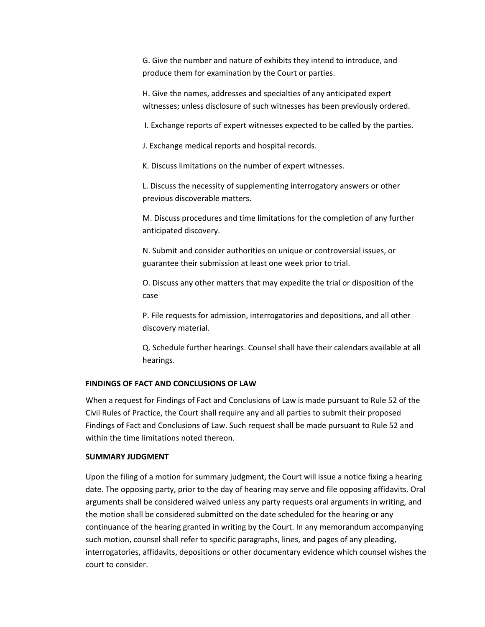G. Give the number and nature of exhibits they intend to introduce, and produce them for examination by the Court or parties.

H. Give the names, addresses and specialties of any anticipated expert witnesses; unless disclosure of such witnesses has been previously ordered.

I. Exchange reports of expert witnesses expected to be called by the parties.

J. Exchange medical reports and hospital records.

K. Discuss limitations on the number of expert witnesses.

L. Discuss the necessity of supplementing interrogatory answers or other previous discoverable matters.

M. Discuss procedures and time limitations for the completion of any further anticipated discovery.

N. Submit and consider authorities on unique or controversial issues, or guarantee their submission at least one week prior to trial.

O. Discuss any other matters that may expedite the trial or disposition of the case

P. File requests for admission, interrogatories and depositions, and all other discovery material.

Q. Schedule further hearings. Counsel shall have their calendars available at all hearings.

## **FINDINGS OF FACT AND CONCLUSIONS OF LAW**

When a request for Findings of Fact and Conclusions of Law is made pursuant to Rule 52 of the Civil Rules of Practice, the Court shall require any and all parties to submit their proposed Findings of Fact and Conclusions of Law. Such request shall be made pursuant to Rule 52 and within the time limitations noted thereon.

# **SUMMARY JUDGMENT**

Upon the filing of a motion for summary judgment, the Court will issue a notice fixing a hearing date. The opposing party, prior to the day of hearing may serve and file opposing affidavits. Oral arguments shall be considered waived unless any party requests oral arguments in writing, and the motion shall be considered submitted on the date scheduled for the hearing or any continuance of the hearing granted in writing by the Court. In any memorandum accompanying such motion, counsel shall refer to specific paragraphs, lines, and pages of any pleading, interrogatories, affidavits, depositions or other documentary evidence which counsel wishes the court to consider.